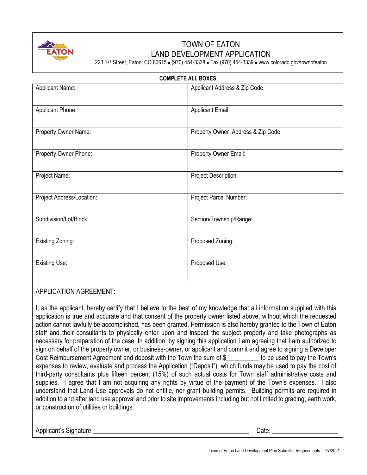

## TOWN OF EATON LAND DEVELOPMENT APPLICATION

223 1ST Street, Eaton, CO 80615 ● (970) 454-3338 ● Fax (970) 454-3339 ● www.colorado.gov/townofeaton

| <b>COMPLETE ALL BOXES</b> |                           |                                    |  |  |  |
|---------------------------|---------------------------|------------------------------------|--|--|--|
|                           | <b>Applicant Name:</b>    | Applicant Address & Zip Code:      |  |  |  |
|                           | Applicant Phone:          | <b>Applicant Email:</b>            |  |  |  |
|                           | Property Owner Name:      | Property Owner Address & Zip Code: |  |  |  |
|                           | Property Owner Phone:     | Property Owner Email:              |  |  |  |
|                           | Project Name:             | <b>Project Description:</b>        |  |  |  |
|                           | Project Address/Location: | Project Parcel Number:             |  |  |  |
|                           | Subdivision/Lot/Block:    | Section/Township/Range:            |  |  |  |
|                           | Existing Zoning:          | Proposed Zoning:                   |  |  |  |
|                           | <b>Existing Use:</b>      | Proposed Use:                      |  |  |  |

## APPLICATION AGREEMENT:

I, as the applicant, hereby certify that I believe to the best of my knowledge that all information supplied with this application is true and accurate and that consent of the property owner listed above, without which the requested action cannot lawfully be accomplished, has been granted. Permission is also hereby granted to the Town of Eaton staff and their consultants to physically enter upon and inspect the subject property and take photographs as necessary for preparation of the case. In addition, by signing this application I am agreeing that I am authorized to sign on behalf of the property owner, or business-owner, or applicant and commit and agree to signing a Developer Cost Reimbursement Agreement and deposit with the Town the sum of \$\_\_\_\_\_\_\_\_\_\_ to be used to pay the Town's expenses to review, evaluate and process the Application ("Deposit"), which funds may be used to pay the cost of third-party consultants plus fifteen percent (15%) of such actual costs for Town staff administrative costs and supplies. I agree that I am not acquiring any rights by virtue of the payment of the Town's expenses. I also understand that Land Use approvals do not entitle, nor grant building permits. Building permits are required in addition to and after land use approval and prior to site improvements including but not limited to grading, earth work, or construction of utilities or buildings.

Applicant's Signature \_\_\_\_\_\_\_\_\_\_\_\_\_\_\_\_\_\_\_\_\_\_\_\_\_\_\_\_\_\_\_\_\_\_\_\_\_\_\_\_\_\_\_\_\_\_\_\_\_\_\_\_ Date: \_\_\_\_\_\_\_\_\_\_\_\_\_\_\_\_\_\_\_\_\_\_